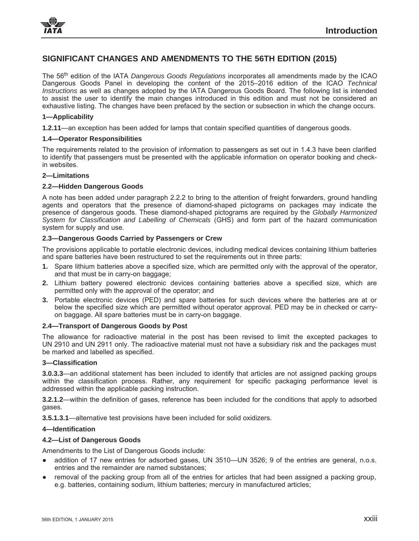

# **SIGNIFICANT CHANGES AND AMENDMENTS TO THE 56TH EDITION (2015)**

The 56th edition of the IATA *Dangerous Goods Regulations* incorporates all amendments made by the ICAO Dangerous Goods Panel in developing the content of the 2015–2016 edition of the ICAO *Technical Instructions* as well as changes adopted by the IATA Dangerous Goods Board. The following list is intended to assist the user to identify the main changes introduced in this edition and must not be considered an exhaustive listing. The changes have been prefaced by the section or subsection in which the change occurs.

#### **1—Applicability**

**1.2.11**—an exception has been added for lamps that contain specified quantities of dangerous goods.

#### **1.4—Operator Responsibilities**

The requirements related to the provision of information to passengers as set out in 1.4.3 have been clarified to identify that passengers must be presented with the applicable information on operator booking and checkin websites.

#### **2—Limitations**

#### **2.2—Hidden Dangerous Goods**

A note has been added under paragraph 2.2.2 to bring to the attention of freight forwarders, ground handling agents and operators that the presence of diamond-shaped pictograms on packages may indicate the presence of dangerous goods. These diamond-shaped pictograms are required by the *Globally Harmonized System for Classification and Labelling of Chemicals* (GHS) and form part of the hazard communication system for supply and use.

## **2.3—Dangerous Goods Carried by Passengers or Crew**

The provisions applicable to portable electronic devices, including medical devices containing lithium batteries and spare batteries have been restructured to set the requirements out in three parts:

- **1.** Spare lithium batteries above a specified size, which are permitted only with the approval of the operator, and that must be in carry-on baggage;
- **2.** Lithium battery powered electronic devices containing batteries above a specified size, which are permitted only with the approval of the operator; and
- **3.** Portable electronic devices (PED) and spare batteries for such devices where the batteries are at or below the specified size which are permitted without operator approval. PED may be in checked or carryon baggage. All spare batteries must be in carry-on baggage.

## **2.4—Transport of Dangerous Goods by Post**

The allowance for radioactive material in the post has been revised to limit the excepted packages to UN 2910 and UN 2911 only. The radioactive material must not have a subsidiary risk and the packages must be marked and labelled as specified.

## **3—Classification**

**3.0.3.3**—an additional statement has been included to identify that articles are not assigned packing groups within the classification process. Rather, any requirement for specific packaging performance level is addressed within the applicable packing instruction.

**3.2.1.2**—within the definition of gases, reference has been included for the conditions that apply to adsorbed gases.

**3.5.1.3.1**—alternative test provisions have been included for solid oxidizers.

#### **4—Identification**

## **4.2—List of Dangerous Goods**

Amendments to the List of Dangerous Goods include:

- addition of 17 new entries for adsorbed gases, UN 3510—UN 3526; 9 of the entries are general, n.o.s. entries and the remainder are named substances;
- removal of the packing group from all of the entries for articles that had been assigned a packing group, e.g. batteries, containing sodium, lithium batteries; mercury in manufactured articles;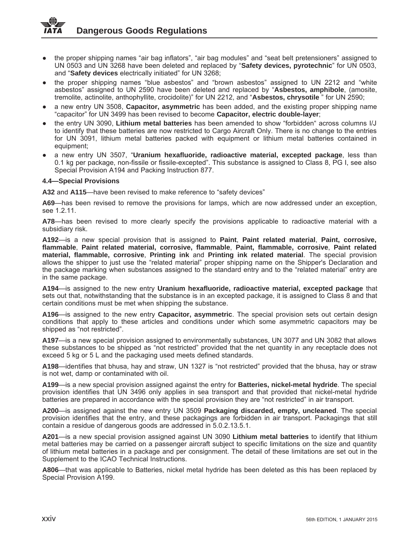- the proper shipping names "air bag inflators", "air bag modules" and "seat belt pretensioners" assigned to UN 0503 and UN 3268 have been deleted and replaced by "**Safety devices, pyrotechnic**" for UN 0503, and "**Safety devices** electrically initiated" for UN 3268;
- the proper shipping names "blue asbestos" and "brown asbestos" assigned to UN 2212 and "white asbestos" assigned to UN 2590 have been deleted and replaced by "**Asbestos, amphibole**, (amosite, tremolite, actinolite, anthophyllite, crocidolite)" for UN 2212, and "**Asbestos, chrysotile** " for UN 2590;
- Ɣ a new entry UN 3508, **Capacitor, asymmetric** has been added, and the existing proper shipping name "capacitor" for UN 3499 has been revised to become **Capacitor, electric double-layer**;
- Ɣ the entry UN 3090, **Lithium metal batteries** has been amended to show "forbidden" across columns I/J to identify that these batteries are now restricted to Cargo Aircraft Only. There is no change to the entries for UN 3091, lithium metal batteries packed with equipment or lithium metal batteries contained in equipment;
- Ɣ a new entry UN 3507, "**Uranium hexafluoride, radioactive material, excepted package**, less than 0.1 kg per package, non-fissile or fissile-excepted". This substance is assigned to Class 8, PG I, see also Special Provision A194 and Packing Instruction 877.

## **4.4—Special Provisions**

**A32** and **A115**—have been revised to make reference to "safety devices"

**A69**—has been revised to remove the provisions for lamps, which are now addressed under an exception, see 1.2.11.

**A78**—has been revised to more clearly specify the provisions applicable to radioactive material with a subsidiary risk.

**A192**—is a new special provision that is assigned to **Paint**, **Paint related material**, **Paint, corrosive, flammable**, **Paint related material, corrosive, flammable**, **Paint, flammable, corrosive**, **Paint related material, flammable, corrosive**, **Printing ink** and **Printing ink related material**. The special provision allows the shipper to just use the "related material" proper shipping name on the Shipper's Declaration and the package marking when substances assigned to the standard entry and to the "related material" entry are in the same package.

**A194**—is assigned to the new entry **Uranium hexafluoride, radioactive material, excepted package** that sets out that, notwithstanding that the substance is in an excepted package, it is assigned to Class 8 and that certain conditions must be met when shipping the substance.

**A196**—is assigned to the new entry **Capacitor, asymmetric**. The special provision sets out certain design conditions that apply to these articles and conditions under which some asymmetric capacitors may be shipped as "not restricted".

**A197**—is a new special provision assigned to environmentally substances, UN 3077 and UN 3082 that allows these substances to be shipped as "not restricted" provided that the net quantity in any receptacle does not exceed 5 kg or 5 L and the packaging used meets defined standards.

**A198**—identifies that bhusa, hay and straw, UN 1327 is "not restricted" provided that the bhusa, hay or straw is not wet, damp or contaminated with oil.

**A199**—is a new special provision assigned against the entry for **Batteries, nickel-metal hydride**. The special provision identifies that UN 3496 only applies in sea transport and that provided that nickel-metal hydride batteries are prepared in accordance with the special provision they are "not restricted" in air transport.

**A200**—is assigned against the new entry UN 3509 **Packaging discarded, empty, uncleaned**. The special provision identifies that the entry, and these packagings are forbidden in air transport. Packagings that still contain a residue of dangerous goods are addressed in 5.0.2.13.5.1.

**A201**—is a new special provision assigned against UN 3090 **Lithium metal batteries** to identify that lithium metal batteries may be carried on a passenger aircraft subject to specific limitations on the size and quantity of lithium metal batteries in a package and per consignment. The detail of these limitations are set out in the Supplement to the ICAO Technical Instructions.

**A806**—that was applicable to Batteries, nickel metal hydride has been deleted as this has been replaced by Special Provision A199.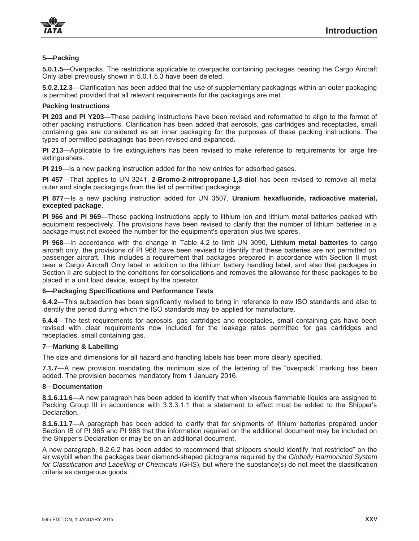## **5—Packing**

**5.0.1.5**—Overpacks. The restrictions applicable to overpacks containing packages bearing the Cargo Aircraft Only label previously shown in 5.0.1.5.3 have been deleted.

**5.0.2.12.3**—Clarification has been added that the use of supplementary packagings within an outer packaging is permitted provided that all relevant requirements for the packagings are met.

## **Packing Instructions**

**PI 203 and PI Y203**—These packing instructions have been revised and reformatted to align to the format of other packing instructions. Clarification has been added that aerosols, gas cartridges and receptacles, small containing gas are considered as an inner packaging for the purposes of these packing instructions. The types of permitted packagings has been revised and expanded.

**PI 213**—Applicable to fire extinguishers has been revised to make reference to requirements for large fire extinguishers.

**PI 219**—Is a new packing instruction added for the new entries for adsorbed gases.

**PI 457**—That applies to UN 3241, **2-Bromo-2-nitropropane-1,3-diol** has been revised to remove all metal outer and single packagings from the list of permitted packagings.

**PI 877**—Is a new packing instruction added for UN 3507, **Uranium hexafluoride, radioactive material, excepted package**.

**PI 966 and PI 969**—These packing instructions apply to lithium ion and lithium metal batteries packed with equipment respectively. The provisions have been revised to clarify that the number of lithium batteries in a package must not exceed the number for the equipment's operation plus two spares.

**PI 968**—In accordance with the change in Table 4.2 to limit UN 3090, **Lithium metal batteries** to cargo aircraft only, the provisions of PI 968 have been revised to identify that these batteries are not permitted on passenger aircraft. This includes a requirement that packages prepared in accordance with Section II must bear a Cargo Aircraft Only label in addition to the lithium battery handling label, and also that packages in Section II are subject to the conditions for consolidations and removes the allowance for these packages to be placed in a unit load device, except by the operator.

## **6—Packaging Specifications and Performance Tests**

**6.4.2**—This subsection has been significantly revised to bring in reference to new ISO standards and also to identify the period during which the ISO standards may be applied for manufacture.

**6.4.4**—The test requirements for aerosols, gas cartridges and receptacles, small containing gas have been revised with clear requirements now included for the leakage rates permitted for gas cartridges and receptacles, small containing gas.

#### **7—Marking & Labelling**

The size and dimensions for all hazard and handling labels has been more clearly specified.

**7.1.7**—A new provision mandating the minimum size of the lettering of the "overpack" marking has been added. The provision becomes mandatory from 1 January 2016.

#### **8—Documentation**

**8.1.6.11.6**—A new paragraph has been added to identify that when viscous flammable liquids are assigned to Packing Group III in accordance with 3.3.3.1.1 that a statement to effect must be added to the Shipper's Declaration.

**8.1.6.11.7**—A paragraph has been added to clarify that for shipments of lithium batteries prepared under Section IB of PI 965 and PI 968 that the information required on the additional document may be included on the Shipper's Declaration or may be on an additional document.

A new paragraph, 8.2.6.2 has been added to recommend that shippers should identify "not restricted" on the air waybill when the packages bear diamond-shaped pictograms required by the *Globally Harmonized System for Classification and Labelling of Chemicals* (GHS), but where the substance(s) do not meet the classification criteria as dangerous goods.